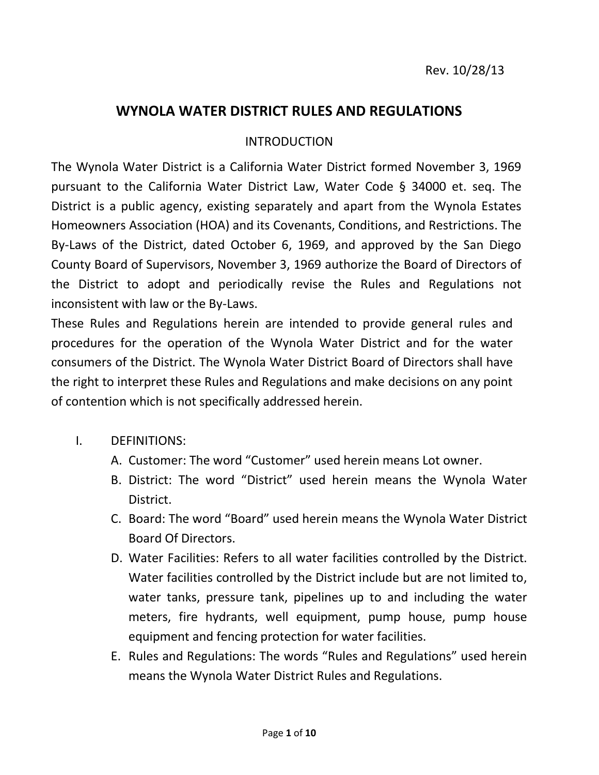## **WYNOLA WATER DISTRICT RULES AND REGULATIONS**

## INTRODUCTION

The Wynola Water District is a California Water District formed November 3, 1969 pursuant to the California Water District Law, Water Code § 34000 et. seq. The District is a public agency, existing separately and apart from the Wynola Estates Homeowners Association (HOA) and its Covenants, Conditions, and Restrictions. The By-Laws of the District, dated October 6, 1969, and approved by the San Diego County Board of Supervisors, November 3, 1969 authorize the Board of Directors of the District to adopt and periodically revise the Rules and Regulations not inconsistent with law or the By-Laws.

These Rules and Regulations herein are intended to provide general rules and procedures for the operation of the Wynola Water District and for the water consumers of the District. The Wynola Water District Board of Directors shall have the right to interpret these Rules and Regulations and make decisions on any point of contention which is not specifically addressed herein.

## I. DEFINITIONS:

- A. Customer: The word "Customer" used herein means Lot owner.
- B. District: The word "District" used herein means the Wynola Water District.
- C. Board: The word "Board" used herein means the Wynola Water District Board Of Directors.
- D. Water Facilities: Refers to all water facilities controlled by the District. Water facilities controlled by the District include but are not limited to, water tanks, pressure tank, pipelines up to and including the water meters, fire hydrants, well equipment, pump house, pump house equipment and fencing protection for water facilities.
- E. Rules and Regulations: The words "Rules and Regulations" used herein means the Wynola Water District Rules and Regulations.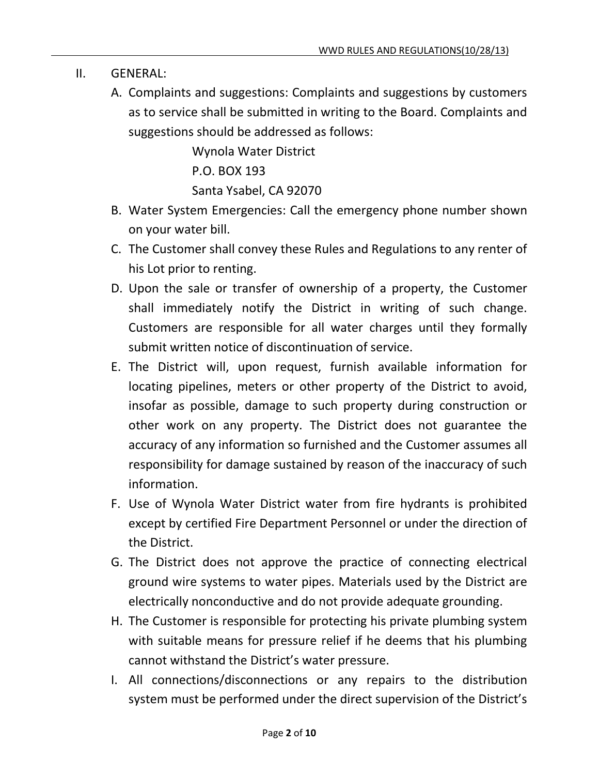- II. GENERAL:
	- A. Complaints and suggestions: Complaints and suggestions by customers as to service shall be submitted in writing to the Board. Complaints and suggestions should be addressed as follows:

Wynola Water District P.O. BOX 193 Santa Ysabel, CA 92070

- B. Water System Emergencies: Call the emergency phone number shown on your water bill.
- C. The Customer shall convey these Rules and Regulations to any renter of his Lot prior to renting.
- D. Upon the sale or transfer of ownership of a property, the Customer shall immediately notify the District in writing of such change. Customers are responsible for all water charges until they formally submit written notice of discontinuation of service.
- E. The District will, upon request, furnish available information for locating pipelines, meters or other property of the District to avoid, insofar as possible, damage to such property during construction or other work on any property. The District does not guarantee the accuracy of any information so furnished and the Customer assumes all responsibility for damage sustained by reason of the inaccuracy of such information.
- F. Use of Wynola Water District water from fire hydrants is prohibited except by certified Fire Department Personnel or under the direction of the District.
- G. The District does not approve the practice of connecting electrical ground wire systems to water pipes. Materials used by the District are electrically nonconductive and do not provide adequate grounding.
- H. The Customer is responsible for protecting his private plumbing system with suitable means for pressure relief if he deems that his plumbing cannot withstand the District's water pressure.
- I. All connections/disconnections or any repairs to the distribution system must be performed under the direct supervision of the District's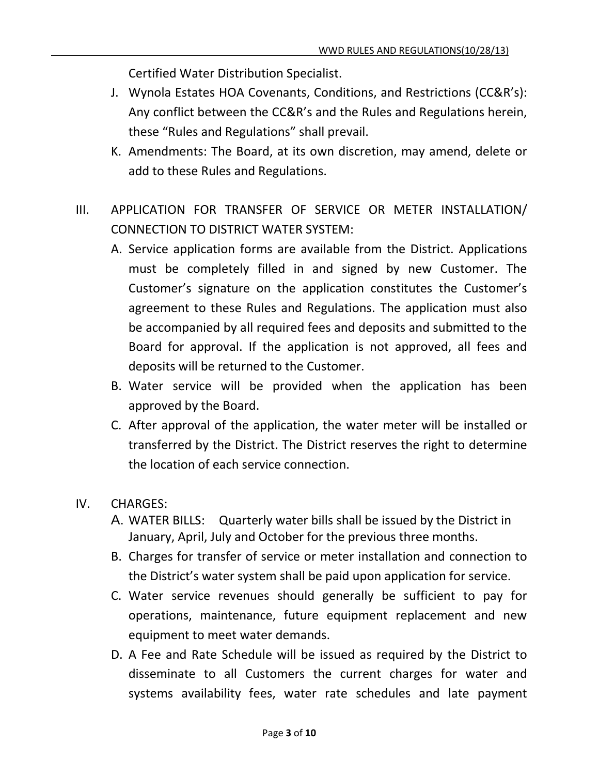Certified Water Distribution Specialist.

- J. Wynola Estates HOA Covenants, Conditions, and Restrictions (CC&R's): Any conflict between the CC&R's and the Rules and Regulations herein, these "Rules and Regulations" shall prevail.
- K. Amendments: The Board, at its own discretion, may amend, delete or add to these Rules and Regulations.
- III. APPLICATION FOR TRANSFER OF SERVICE OR METER INSTALLATION/ CONNECTION TO DISTRICT WATER SYSTEM:
	- A. Service application forms are available from the District. Applications must be completely filled in and signed by new Customer. The Customer's signature on the application constitutes the Customer's agreement to these Rules and Regulations. The application must also be accompanied by all required fees and deposits and submitted to the Board for approval. If the application is not approved, all fees and deposits will be returned to the Customer.
	- B. Water service will be provided when the application has been approved by the Board.
	- C. After approval of the application, the water meter will be installed or transferred by the District. The District reserves the right to determine the location of each service connection.
- IV. CHARGES:
	- A. WATER BILLS: Quarterly water bills shall be issued by the District in January, April, July and October for the previous three months.
	- B. Charges for transfer of service or meter installation and connection to the District's water system shall be paid upon application for service.
	- C. Water service revenues should generally be sufficient to pay for operations, maintenance, future equipment replacement and new equipment to meet water demands.
	- D. A Fee and Rate Schedule will be issued as required by the District to disseminate to all Customers the current charges for water and systems availability fees, water rate schedules and late payment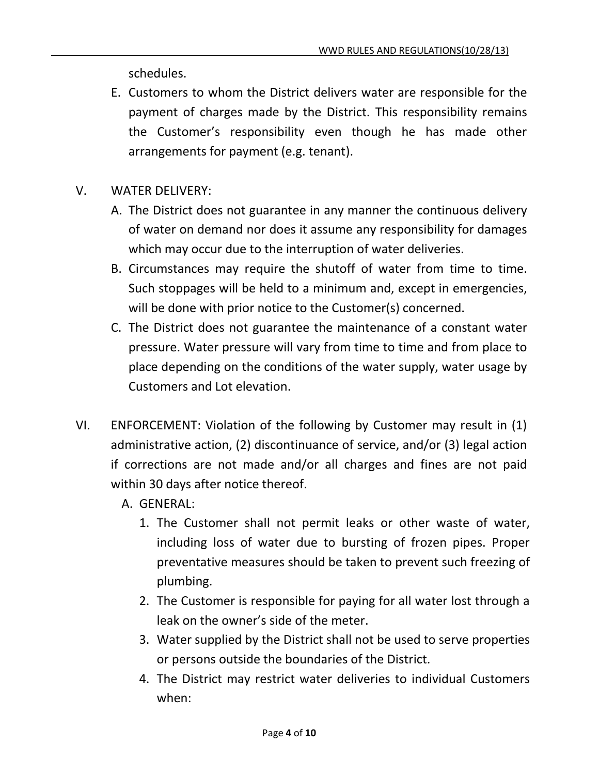schedules.

- E. Customers to whom the District delivers water are responsible for the payment of charges made by the District. This responsibility remains the Customer's responsibility even though he has made other arrangements for payment (e.g. tenant).
- V. WATER DELIVERY:
	- A. The District does not guarantee in any manner the continuous delivery of water on demand nor does it assume any responsibility for damages which may occur due to the interruption of water deliveries.
	- B. Circumstances may require the shutoff of water from time to time. Such stoppages will be held to a minimum and, except in emergencies, will be done with prior notice to the Customer(s) concerned.
	- C. The District does not guarantee the maintenance of a constant water pressure. Water pressure will vary from time to time and from place to place depending on the conditions of the water supply, water usage by Customers and Lot elevation.
- VI. ENFORCEMENT: Violation of the following by Customer may result in (1) administrative action, (2) discontinuance of service, and/or (3) legal action if corrections are not made and/or all charges and fines are not paid within 30 days after notice thereof.
	- A. GENERAL:
		- 1. The Customer shall not permit leaks or other waste of water, including loss of water due to bursting of frozen pipes. Proper preventative measures should be taken to prevent such freezing of plumbing.
		- 2. The Customer is responsible for paying for all water lost through a leak on the owner's side of the meter.
		- 3. Water supplied by the District shall not be used to serve properties or persons outside the boundaries of the District.
		- 4. The District may restrict water deliveries to individual Customers when: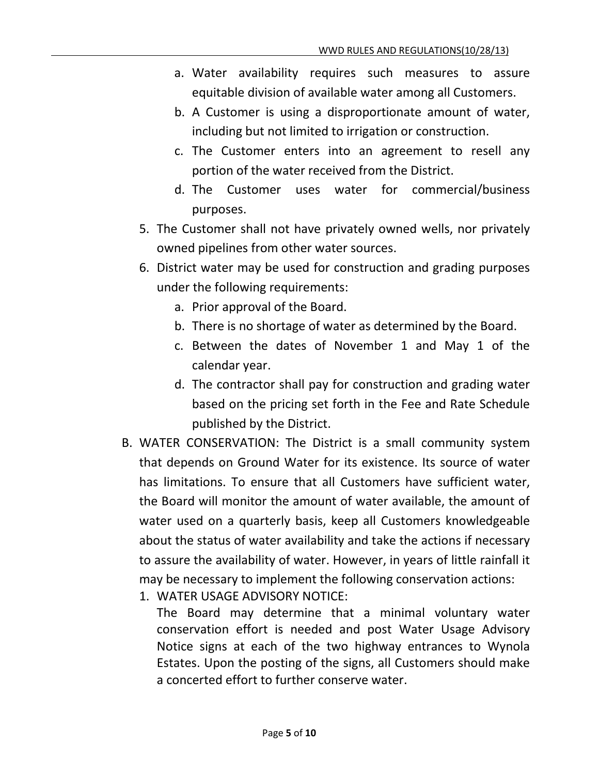- a. Water availability requires such measures to assure equitable division of available water among all Customers.
- b. A Customer is using a disproportionate amount of water, including but not limited to irrigation or construction.
- c. The Customer enters into an agreement to resell any portion of the water received from the District.
- d. The Customer uses water for commercial/business purposes.
- 5. The Customer shall not have privately owned wells, nor privately owned pipelines from other water sources.
- 6. District water may be used for construction and grading purposes under the following requirements:
	- a. Prior approval of the Board.
	- b. There is no shortage of water as determined by the Board.
	- c. Between the dates of November 1 and May 1 of the calendar year.
	- d. The contractor shall pay for construction and grading water based on the pricing set forth in the Fee and Rate Schedule published by the District.
- B. WATER CONSERVATION: The District is a small community system that depends on Ground Water for its existence. Its source of water has limitations. To ensure that all Customers have sufficient water, the Board will monitor the amount of water available, the amount of water used on a quarterly basis, keep all Customers knowledgeable about the status of water availability and take the actions if necessary to assure the availability of water. However, in years of little rainfall it may be necessary to implement the following conservation actions:
	- 1. WATER USAGE ADVISORY NOTICE:

The Board may determine that a minimal voluntary water conservation effort is needed and post Water Usage Advisory Notice signs at each of the two highway entrances to Wynola Estates. Upon the posting of the signs, all Customers should make a concerted effort to further conserve water.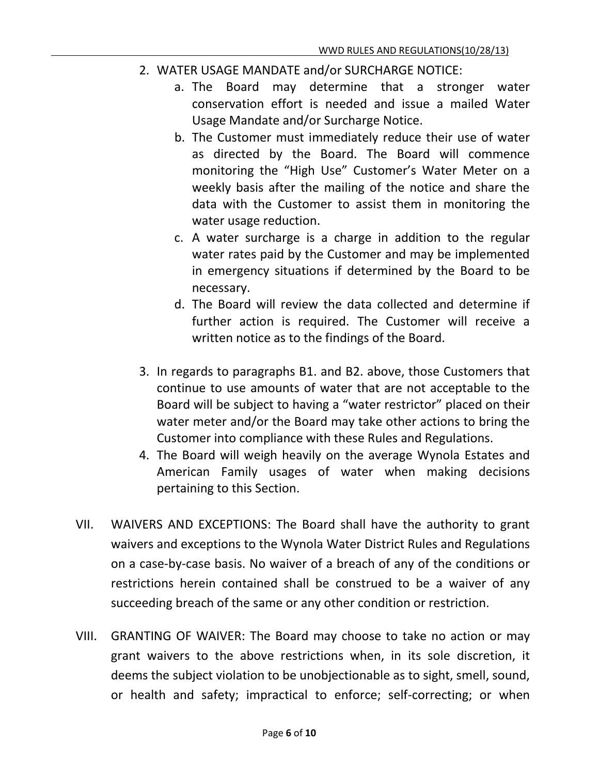- 2. WATER USAGE MANDATE and/or SURCHARGE NOTICE:
	- a. The Board may determine that a stronger water conservation effort is needed and issue a mailed Water Usage Mandate and/or Surcharge Notice.
	- b. The Customer must immediately reduce their use of water as directed by the Board. The Board will commence monitoring the "High Use" Customer's Water Meter on a weekly basis after the mailing of the notice and share the data with the Customer to assist them in monitoring the water usage reduction.
	- c. A water surcharge is a charge in addition to the regular water rates paid by the Customer and may be implemented in emergency situations if determined by the Board to be necessary.
	- d. The Board will review the data collected and determine if further action is required. The Customer will receive a written notice as to the findings of the Board.
- 3. In regards to paragraphs B1. and B2. above, those Customers that continue to use amounts of water that are not acceptable to the Board will be subject to having a "water restrictor" placed on their water meter and/or the Board may take other actions to bring the Customer into compliance with these Rules and Regulations.
- 4. The Board will weigh heavily on the average Wynola Estates and American Family usages of water when making decisions pertaining to this Section.
- VII. WAIVERS AND EXCEPTIONS: The Board shall have the authority to grant waivers and exceptions to the Wynola Water District Rules and Regulations on a case-by-case basis. No waiver of a breach of any of the conditions or restrictions herein contained shall be construed to be a waiver of any succeeding breach of the same or any other condition or restriction.
- VIII. GRANTING OF WAIVER: The Board may choose to take no action or may grant waivers to the above restrictions when, in its sole discretion, it deems the subject violation to be unobjectionable as to sight, smell, sound, or health and safety; impractical to enforce; self-correcting; or when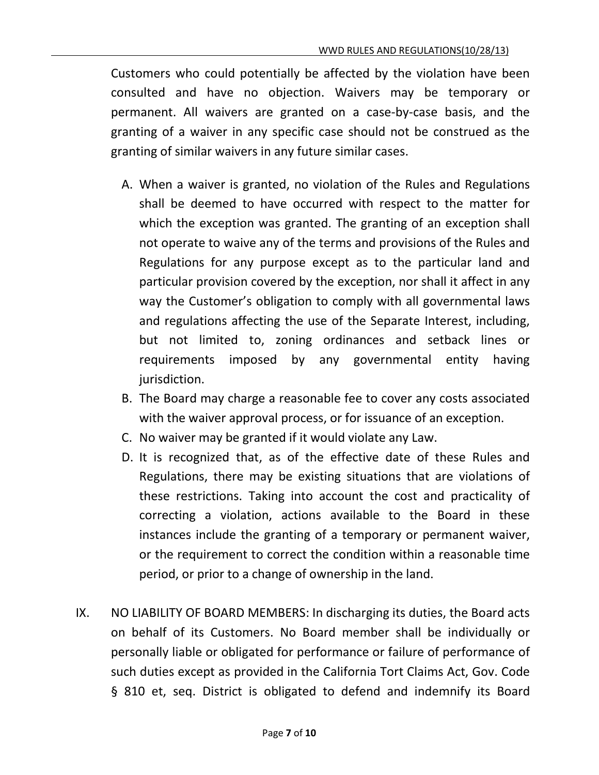Customers who could potentially be affected by the violation have been consulted and have no objection. Waivers may be temporary or permanent. All waivers are granted on a case-by-case basis, and the granting of a waiver in any specific case should not be construed as the granting of similar waivers in any future similar cases.

- A. When a waiver is granted, no violation of the Rules and Regulations shall be deemed to have occurred with respect to the matter for which the exception was granted. The granting of an exception shall not operate to waive any of the terms and provisions of the Rules and Regulations for any purpose except as to the particular land and particular provision covered by the exception, nor shall it affect in any way the Customer's obligation to comply with all governmental laws and regulations affecting the use of the Separate Interest, including, but not limited to, zoning ordinances and setback lines or requirements imposed by any governmental entity having jurisdiction.
- B. The Board may charge a reasonable fee to cover any costs associated with the waiver approval process, or for issuance of an exception.
- C. No waiver may be granted if it would violate any Law.
- D. It is recognized that, as of the effective date of these Rules and Regulations, there may be existing situations that are violations of these restrictions. Taking into account the cost and practicality of correcting a violation, actions available to the Board in these instances include the granting of a temporary or permanent waiver, or the requirement to correct the condition within a reasonable time period, or prior to a change of ownership in the land.
- IX. NO LIABILITY OF BOARD MEMBERS: In discharging its duties, the Board acts on behalf of its Customers. No Board member shall be individually or personally liable or obligated for performance or failure of performance of such duties except as provided in the California Tort Claims Act, Gov. Code § 810 et, seq. District is obligated to defend and indemnify its Board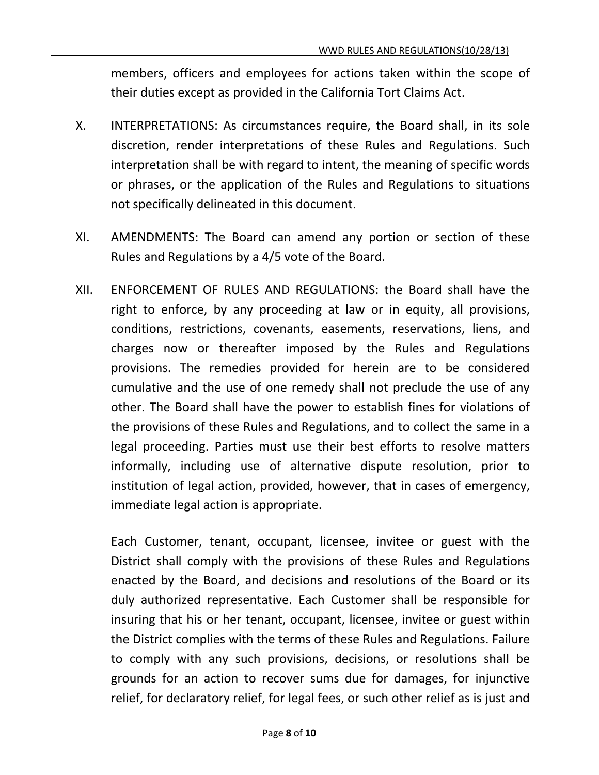members, officers and employees for actions taken within the scope of their duties except as provided in the California Tort Claims Act.

- X. INTERPRETATIONS: As circumstances require, the Board shall, in its sole discretion, render interpretations of these Rules and Regulations. Such interpretation shall be with regard to intent, the meaning of specific words or phrases, or the application of the Rules and Regulations to situations not specifically delineated in this document.
- XI. AMENDMENTS: The Board can amend any portion or section of these Rules and Regulations by a 4/5 vote of the Board.
- XII. ENFORCEMENT OF RULES AND REGULATIONS: the Board shall have the right to enforce, by any proceeding at law or in equity, all provisions, conditions, restrictions, covenants, easements, reservations, liens, and charges now or thereafter imposed by the Rules and Regulations provisions. The remedies provided for herein are to be considered cumulative and the use of one remedy shall not preclude the use of any other. The Board shall have the power to establish fines for violations of the provisions of these Rules and Regulations, and to collect the same in a legal proceeding. Parties must use their best efforts to resolve matters informally, including use of alternative dispute resolution, prior to institution of legal action, provided, however, that in cases of emergency, immediate legal action is appropriate.

Each Customer, tenant, occupant, licensee, invitee or guest with the District shall comply with the provisions of these Rules and Regulations enacted by the Board, and decisions and resolutions of the Board or its duly authorized representative. Each Customer shall be responsible for insuring that his or her tenant, occupant, licensee, invitee or guest within the District complies with the terms of these Rules and Regulations. Failure to comply with any such provisions, decisions, or resolutions shall be grounds for an action to recover sums due for damages, for injunctive relief, for declaratory relief, for legal fees, or such other relief as is just and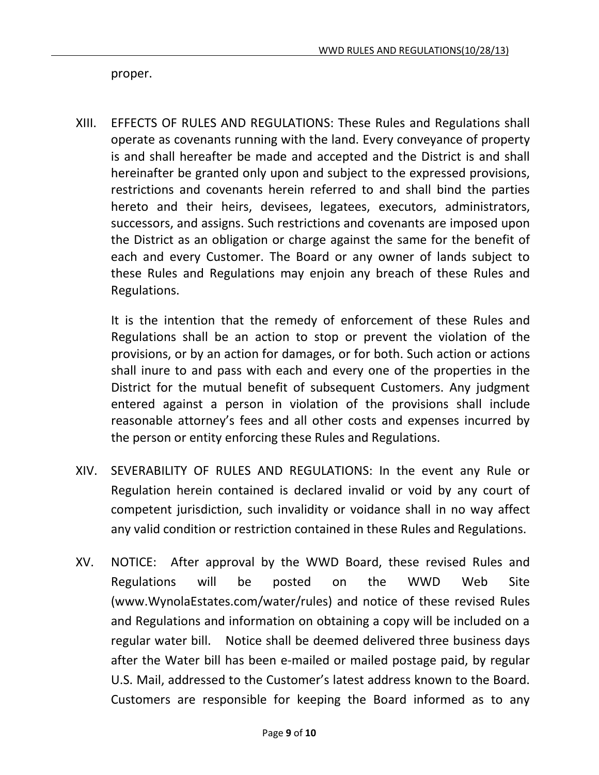proper.

XIII. EFFECTS OF RULES AND REGULATIONS: These Rules and Regulations shall operate as covenants running with the land. Every conveyance of property is and shall hereafter be made and accepted and the District is and shall hereinafter be granted only upon and subject to the expressed provisions, restrictions and covenants herein referred to and shall bind the parties hereto and their heirs, devisees, legatees, executors, administrators, successors, and assigns. Such restrictions and covenants are imposed upon the District as an obligation or charge against the same for the benefit of each and every Customer. The Board or any owner of lands subject to these Rules and Regulations may enjoin any breach of these Rules and Regulations.

It is the intention that the remedy of enforcement of these Rules and Regulations shall be an action to stop or prevent the violation of the provisions, or by an action for damages, or for both. Such action or actions shall inure to and pass with each and every one of the properties in the District for the mutual benefit of subsequent Customers. Any judgment entered against a person in violation of the provisions shall include reasonable attorney's fees and all other costs and expenses incurred by the person or entity enforcing these Rules and Regulations.

- XIV. SEVERABILITY OF RULES AND REGULATIONS: In the event any Rule or Regulation herein contained is declared invalid or void by any court of competent jurisdiction, such invalidity or voidance shall in no way affect any valid condition or restriction contained in these Rules and Regulations.
- XV. NOTICE: After approval by the WWD Board, these revised Rules and Regulations will be posted on the WWD Web Site (www.WynolaEstates.com/water/rules) and notice of these revised Rules and Regulations and information on obtaining a copy will be included on a regular water bill. Notice shall be deemed delivered three business days after the Water bill has been e-mailed or mailed postage paid, by regular U.S. Mail, addressed to the Customer's latest address known to the Board. Customers are responsible for keeping the Board informed as to any